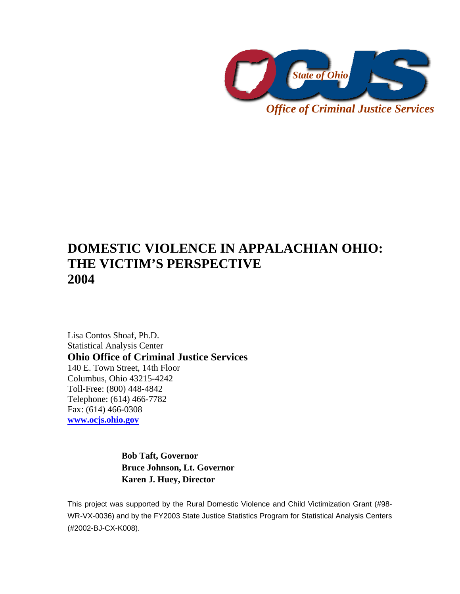

*Office of Criminal Justice Services* 

# **DOMESTIC VIOLENCE IN APPALACHIAN OHIO: THE VICTIM'S PERSPECTIVE 2004**

Lisa Contos Shoaf, Ph.D. Statistical Analysis Center **Ohio Office of Criminal Justice Services**  140 E. Town Street, 14th Floor Columbus, Ohio 43215-4242 Toll-Free: (800) 448-4842 Telephone: (614) 466-7782 Fax: (614) 466-0308 **www.ocjs.ohio.gov**

> **Bob Taft, Governor Bruce Johnson, Lt. Governor Karen J. Huey, Director**

This project was supported by the Rural Domestic Violence and Child Victimization Grant (#98- WR-VX-0036) and by the FY2003 State Justice Statistics Program for Statistical Analysis Centers (#2002-BJ-CX-K008).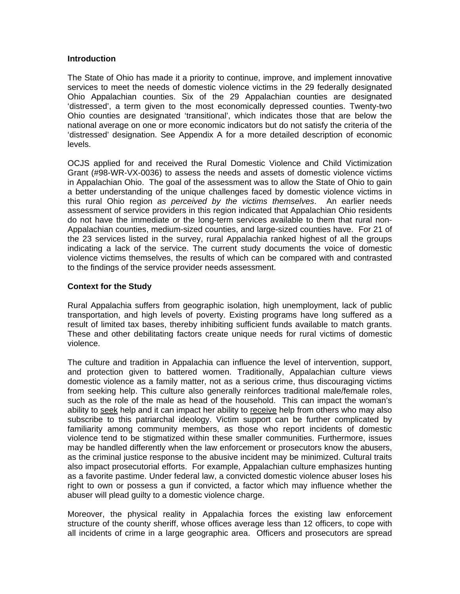## **Introduction**

The State of Ohio has made it a priority to continue, improve, and implement innovative services to meet the needs of domestic violence victims in the 29 federally designated Ohio Appalachian counties. Six of the 29 Appalachian counties are designated 'distressed', a term given to the most economically depressed counties. Twenty-two Ohio counties are designated 'transitional', which indicates those that are below the national average on one or more economic indicators but do not satisfy the criteria of the 'distressed' designation. See Appendix A for a more detailed description of economic levels.

OCJS applied for and received the Rural Domestic Violence and Child Victimization Grant (#98-WR-VX-0036) to assess the needs and assets of domestic violence victims in Appalachian Ohio. The goal of the assessment was to allow the State of Ohio to gain a better understanding of the unique challenges faced by domestic violence victims in this rural Ohio region *as perceived by the victims themselves*. An earlier needs assessment of service providers in this region indicated that Appalachian Ohio residents do not have the immediate or the long-term services available to them that rural non-Appalachian counties, medium-sized counties, and large-sized counties have. For 21 of the 23 services listed in the survey, rural Appalachia ranked highest of all the groups indicating a lack of the service. The current study documents the voice of domestic violence victims themselves, the results of which can be compared with and contrasted to the findings of the service provider needs assessment.

# **Context for the Study**

Rural Appalachia suffers from geographic isolation, high unemployment, lack of public transportation, and high levels of poverty. Existing programs have long suffered as a result of limited tax bases, thereby inhibiting sufficient funds available to match grants. These and other debilitating factors create unique needs for rural victims of domestic violence.

The culture and tradition in Appalachia can influence the level of intervention, support, and protection given to battered women. Traditionally, Appalachian culture views domestic violence as a family matter, not as a serious crime, thus discouraging victims from seeking help. This culture also generally reinforces traditional male/female roles, such as the role of the male as head of the household. This can impact the woman's ability to seek help and it can impact her ability to receive help from others who may also subscribe to this patriarchal ideology. Victim support can be further complicated by familiarity among community members, as those who report incidents of domestic violence tend to be stigmatized within these smaller communities. Furthermore, issues may be handled differently when the law enforcement or prosecutors know the abusers, as the criminal justice response to the abusive incident may be minimized. Cultural traits also impact prosecutorial efforts. For example, Appalachian culture emphasizes hunting as a favorite pastime. Under federal law, a convicted domestic violence abuser loses his right to own or possess a gun if convicted, a factor which may influence whether the abuser will plead guilty to a domestic violence charge.

Moreover, the physical reality in Appalachia forces the existing law enforcement structure of the county sheriff, whose offices average less than 12 officers, to cope with all incidents of crime in a large geographic area. Officers and prosecutors are spread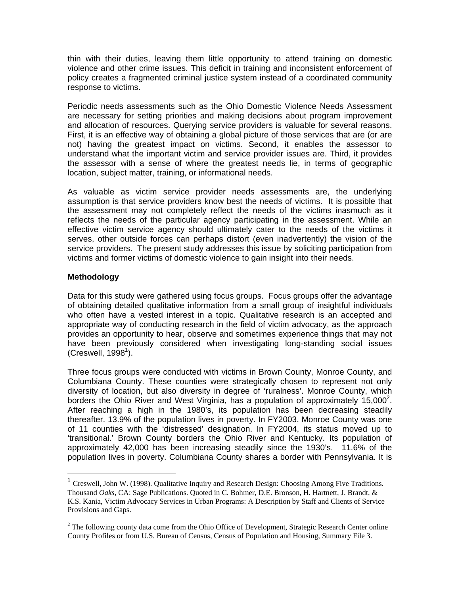thin with their duties, leaving them little opportunity to attend training on domestic violence and other crime issues. This deficit in training and inconsistent enforcement of policy creates a fragmented criminal justice system instead of a coordinated community response to victims.

Periodic needs assessments such as the Ohio Domestic Violence Needs Assessment are necessary for setting priorities and making decisions about program improvement and allocation of resources. Querying service providers is valuable for several reasons. First, it is an effective way of obtaining a global picture of those services that are (or are not) having the greatest impact on victims. Second, it enables the assessor to understand what the important victim and service provider issues are. Third, it provides the assessor with a sense of where the greatest needs lie, in terms of geographic location, subject matter, training, or informational needs.

As valuable as victim service provider needs assessments are, the underlying assumption is that service providers know best the needs of victims. It is possible that the assessment may not completely reflect the needs of the victims inasmuch as it reflects the needs of the particular agency participating in the assessment. While an effective victim service agency should ultimately cater to the needs of the victims it serves, other outside forces can perhaps distort (even inadvertently) the vision of the service providers. The present study addresses this issue by soliciting participation from victims and former victims of domestic violence to gain insight into their needs.

# **Methodology**

 $\overline{a}$ 

Data for this study were gathered using focus groups. Focus groups offer the advantage of obtaining detailed qualitative information from a small group of insightful individuals who often have a vested interest in a topic. Qualitative research is an accepted and appropriate way of conducting research in the field of victim advocacy, as the approach provides an opportunity to hear, observe and sometimes experience things that may not have been previously considered when investigating long-standing social issues  $(C$ reswell, 1998<sup>1</sup>).

Three focus groups were conducted with victims in Brown County, Monroe County, and Columbiana County. These counties were strategically chosen to represent not only diversity of location, but also diversity in degree of 'ruralness'. Monroe County, which borders the Ohio River and West Virginia, has a population of approximately  $15,000^2$ . After reaching a high in the 1980's, its population has been decreasing steadily thereafter. 13.9% of the population lives in poverty. In FY2003, Monroe County was one of 11 counties with the 'distressed' designation. In FY2004, its status moved up to 'transitional.' Brown County borders the Ohio River and Kentucky. Its population of approximately 42,000 has been increasing steadily since the 1930's. 11.6% of the population lives in poverty. Columbiana County shares a border with Pennsylvania. It is

 $1$  Creswell, John W. (1998). Qualitative Inquiry and Research Design: Choosing Among Five Traditions. Thousand *Oaks,* CA: Sage Publications. Quoted in C. Bohmer, D.E. Bronson, H. Hartnett, J. Brandt, & K.S. Kania, Victim Advocacy Services in Urban Programs: A Description by Staff and Clients of Service Provisions and Gaps.

 $2^2$  The following county data come from the Ohio Office of Development, Strategic Research Center online County Profiles or from U.S. Bureau of Census, Census of Population and Housing, Summary File 3.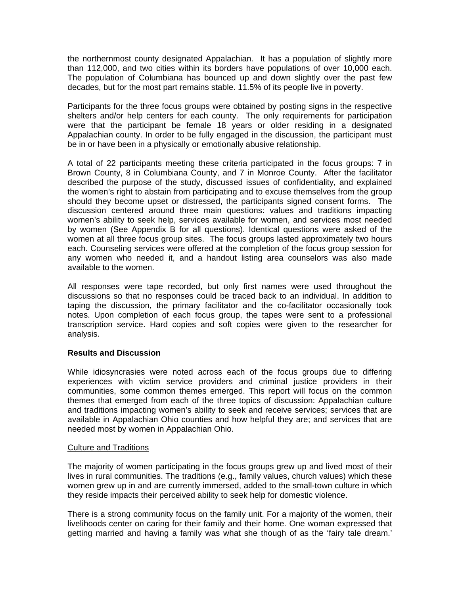the northernmost county designated Appalachian. It has a population of slightly more than 112,000, and two cities within its borders have populations of over 10,000 each. The population of Columbiana has bounced up and down slightly over the past few decades, but for the most part remains stable. 11.5% of its people live in poverty.

Participants for the three focus groups were obtained by posting signs in the respective shelters and/or help centers for each county. The only requirements for participation were that the participant be female 18 years or older residing in a designated Appalachian county. In order to be fully engaged in the discussion, the participant must be in or have been in a physically or emotionally abusive relationship.

A total of 22 participants meeting these criteria participated in the focus groups: 7 in Brown County, 8 in Columbiana County, and 7 in Monroe County. After the facilitator described the purpose of the study, discussed issues of confidentiality, and explained the women's right to abstain from participating and to excuse themselves from the group should they become upset or distressed, the participants signed consent forms. The discussion centered around three main questions: values and traditions impacting women's ability to seek help, services available for women, and services most needed by women (See Appendix B for all questions). Identical questions were asked of the women at all three focus group sites. The focus groups lasted approximately two hours each. Counseling services were offered at the completion of the focus group session for any women who needed it, and a handout listing area counselors was also made available to the women.

All responses were tape recorded, but only first names were used throughout the discussions so that no responses could be traced back to an individual. In addition to taping the discussion, the primary facilitator and the co-facilitator occasionally took notes. Upon completion of each focus group, the tapes were sent to a professional transcription service. Hard copies and soft copies were given to the researcher for analysis.

## **Results and Discussion**

While idiosyncrasies were noted across each of the focus groups due to differing experiences with victim service providers and criminal justice providers in their communities, some common themes emerged. This report will focus on the common themes that emerged from each of the three topics of discussion: Appalachian culture and traditions impacting women's ability to seek and receive services; services that are available in Appalachian Ohio counties and how helpful they are; and services that are needed most by women in Appalachian Ohio.

## Culture and Traditions

The majority of women participating in the focus groups grew up and lived most of their lives in rural communities. The traditions (e.g., family values, church values) which these women grew up in and are currently immersed, added to the small-town culture in which they reside impacts their perceived ability to seek help for domestic violence.

There is a strong community focus on the family unit. For a majority of the women, their livelihoods center on caring for their family and their home. One woman expressed that getting married and having a family was what she though of as the 'fairy tale dream.'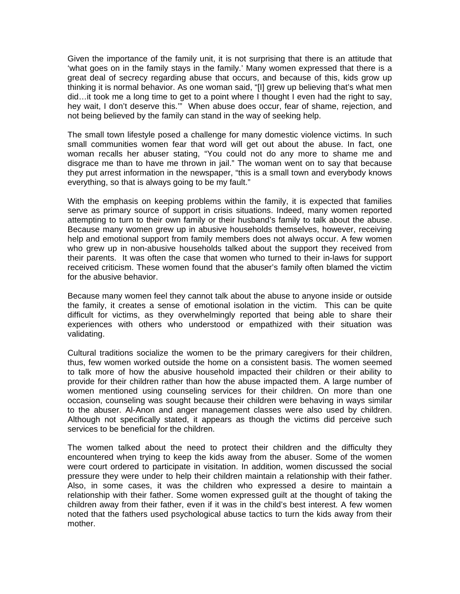Given the importance of the family unit, it is not surprising that there is an attitude that 'what goes on in the family stays in the family.' Many women expressed that there is a great deal of secrecy regarding abuse that occurs, and because of this, kids grow up thinking it is normal behavior. As one woman said, "[I] grew up believing that's what men did…it took me a long time to get to a point where I thought I even had the right to say, hey wait, I don't deserve this.'" When abuse does occur, fear of shame, rejection, and not being believed by the family can stand in the way of seeking help.

The small town lifestyle posed a challenge for many domestic violence victims. In such small communities women fear that word will get out about the abuse. In fact, one woman recalls her abuser stating, "You could not do any more to shame me and disgrace me than to have me thrown in jail." The woman went on to say that because they put arrest information in the newspaper, "this is a small town and everybody knows everything, so that is always going to be my fault."

With the emphasis on keeping problems within the family, it is expected that families serve as primary source of support in crisis situations. Indeed, many women reported attempting to turn to their own family or their husband's family to talk about the abuse. Because many women grew up in abusive households themselves, however, receiving help and emotional support from family members does not always occur. A few women who grew up in non-abusive households talked about the support they received from their parents. It was often the case that women who turned to their in-laws for support received criticism. These women found that the abuser's family often blamed the victim for the abusive behavior.

Because many women feel they cannot talk about the abuse to anyone inside or outside the family, it creates a sense of emotional isolation in the victim. This can be quite difficult for victims, as they overwhelmingly reported that being able to share their experiences with others who understood or empathized with their situation was validating.

Cultural traditions socialize the women to be the primary caregivers for their children, thus, few women worked outside the home on a consistent basis. The women seemed to talk more of how the abusive household impacted their children or their ability to provide for their children rather than how the abuse impacted them. A large number of women mentioned using counseling services for their children. On more than one occasion, counseling was sought because their children were behaving in ways similar to the abuser. Al-Anon and anger management classes were also used by children. Although not specifically stated, it appears as though the victims did perceive such services to be beneficial for the children.

The women talked about the need to protect their children and the difficulty they encountered when trying to keep the kids away from the abuser. Some of the women were court ordered to participate in visitation. In addition, women discussed the social pressure they were under to help their children maintain a relationship with their father. Also, in some cases, it was the children who expressed a desire to maintain a relationship with their father. Some women expressed guilt at the thought of taking the children away from their father, even if it was in the child's best interest. A few women noted that the fathers used psychological abuse tactics to turn the kids away from their mother.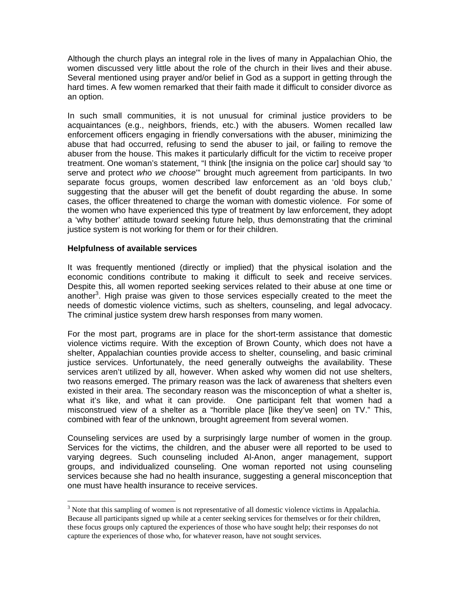Although the church plays an integral role in the lives of many in Appalachian Ohio, the women discussed very little about the role of the church in their lives and their abuse. Several mentioned using prayer and/or belief in God as a support in getting through the hard times. A few women remarked that their faith made it difficult to consider divorce as an option.

In such small communities, it is not unusual for criminal justice providers to be acquaintances (e.g., neighbors, friends, etc.) with the abusers. Women recalled law enforcement officers engaging in friendly conversations with the abuser, minimizing the abuse that had occurred, refusing to send the abuser to jail, or failing to remove the abuser from the house. This makes it particularly difficult for the victim to receive proper treatment. One woman's statement, "I think [the insignia on the police car] should say 'to serve and protect *who we choose*'" brought much agreement from participants. In two separate focus groups, women described law enforcement as an 'old boys club,' suggesting that the abuser will get the benefit of doubt regarding the abuse. In some cases, the officer threatened to charge the woman with domestic violence. For some of the women who have experienced this type of treatment by law enforcement, they adopt a 'why bother' attitude toward seeking future help, thus demonstrating that the criminal justice system is not working for them or for their children.

## **Helpfulness of available services**

 $\overline{a}$ 

It was frequently mentioned (directly or implied) that the physical isolation and the economic conditions contribute to making it difficult to seek and receive services. Despite this, all women reported seeking services related to their abuse at one time or another<sup>3</sup>. High praise was given to those services especially created to the meet the needs of domestic violence victims, such as shelters, counseling, and legal advocacy. The criminal justice system drew harsh responses from many women.

For the most part, programs are in place for the short-term assistance that domestic violence victims require. With the exception of Brown County, which does not have a shelter, Appalachian counties provide access to shelter, counseling, and basic criminal justice services. Unfortunately, the need generally outweighs the availability. These services aren't utilized by all, however. When asked why women did not use shelters, two reasons emerged. The primary reason was the lack of awareness that shelters even existed in their area. The secondary reason was the misconception of what a shelter is, what it's like, and what it can provide. One participant felt that women had a misconstrued view of a shelter as a "horrible place [like they've seen] on TV." This, combined with fear of the unknown, brought agreement from several women.

Counseling services are used by a surprisingly large number of women in the group. Services for the victims, the children, and the abuser were all reported to be used to varying degrees. Such counseling included Al-Anon, anger management, support groups, and individualized counseling. One woman reported not using counseling services because she had no health insurance, suggesting a general misconception that one must have health insurance to receive services.

 $3$  Note that this sampling of women is not representative of all domestic violence victims in Appalachia. Because all participants signed up while at a center seeking services for themselves or for their children, these focus groups only captured the experiences of those who have sought help; their responses do not capture the experiences of those who, for whatever reason, have not sought services.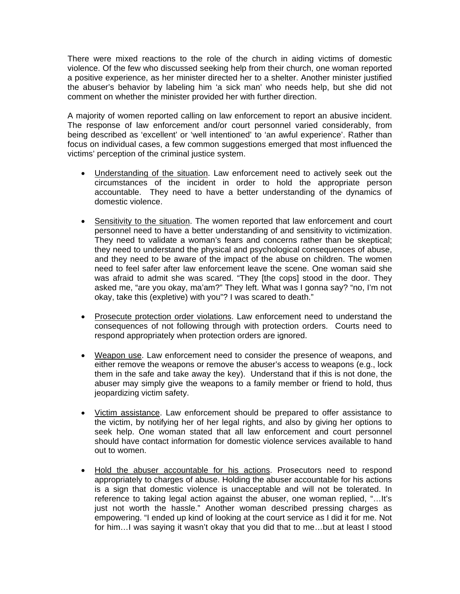There were mixed reactions to the role of the church in aiding victims of domestic violence. Of the few who discussed seeking help from their church, one woman reported a positive experience, as her minister directed her to a shelter. Another minister justified the abuser's behavior by labeling him 'a sick man' who needs help, but she did not comment on whether the minister provided her with further direction.

A majority of women reported calling on law enforcement to report an abusive incident. The response of law enforcement and/or court personnel varied considerably, from being described as 'excellent' or 'well intentioned' to 'an awful experience'. Rather than focus on individual cases, a few common suggestions emerged that most influenced the victims' perception of the criminal justice system.

- Understanding of the situation. Law enforcement need to actively seek out the circumstances of the incident in order to hold the appropriate person accountable. They need to have a better understanding of the dynamics of domestic violence.
- Sensitivity to the situation. The women reported that law enforcement and court personnel need to have a better understanding of and sensitivity to victimization. They need to validate a woman's fears and concerns rather than be skeptical; they need to understand the physical and psychological consequences of abuse, and they need to be aware of the impact of the abuse on children. The women need to feel safer after law enforcement leave the scene. One woman said she was afraid to admit she was scared. "They [the cops] stood in the door. They asked me, "are you okay, ma'am?" They left. What was I gonna say? "no, I'm not okay, take this (expletive) with you"? I was scared to death."
- Prosecute protection order violations. Law enforcement need to understand the consequences of not following through with protection orders. Courts need to respond appropriately when protection orders are ignored.
- Weapon use. Law enforcement need to consider the presence of weapons, and either remove the weapons or remove the abuser's access to weapons (e.g., lock them in the safe and take away the key). Understand that if this is not done, the abuser may simply give the weapons to a family member or friend to hold, thus jeopardizing victim safety.
- Victim assistance. Law enforcement should be prepared to offer assistance to the victim, by notifying her of her legal rights, and also by giving her options to seek help. One woman stated that all law enforcement and court personnel should have contact information for domestic violence services available to hand out to women.
- Hold the abuser accountable for his actions. Prosecutors need to respond appropriately to charges of abuse. Holding the abuser accountable for his actions is a sign that domestic violence is unacceptable and will not be tolerated. In reference to taking legal action against the abuser, one woman replied, "…It's just not worth the hassle." Another woman described pressing charges as empowering. "I ended up kind of looking at the court service as I did it for me. Not for him…I was saying it wasn't okay that you did that to me…but at least I stood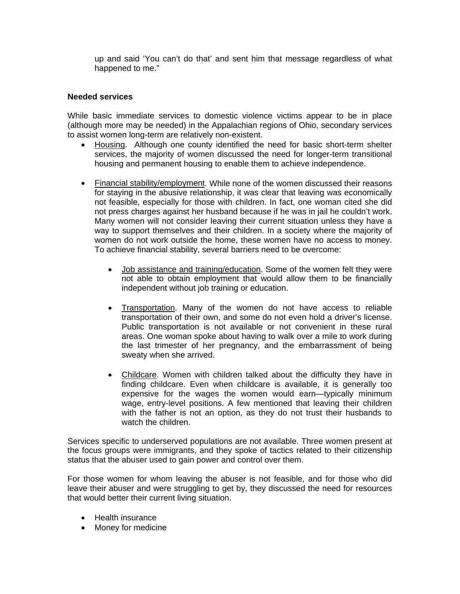up and said 'You can't do that' and sent him that message regardless of what happened to me."

## **Needed services**

While basic immediate services to domestic violence victims appear to be in place (although more may be needed) in the Appalachian regions of Ohio, secondary services to assist women long-term are relatively non-existent.

- Housing. Although one county identified the need for basic short-term shelter services, the majority of women discussed the need for longer-term transitional housing and permanent housing to enable them to achieve independence.
- Financial stability/employment. While none of the women discussed their reasons for staying in the abusive relationship, it was clear that leaving was economically not feasible, especially for those with children. In fact, one woman cited she did not press charges against her husband because if he was in jail he couldn't work. Many women will not consider leaving their current situation unless they have a way to support themselves and their children. In a society where the majority of women do not work outside the home, these women have no access to money. To achieve financial stability, several barriers need to be overcome:
	- Job assistance and training/education. Some of the women felt they were not able to obtain employment that would allow them to be financially independent without job training or education.
	- Transportation. Many of the women do not have access to reliable transportation of their own, and some do not even hold a driver's license. Public transportation is not available or not convenient in these rural areas. One woman spoke about having to walk over a mile to work during the last trimester of her pregnancy, and the embarrassment of being sweaty when she arrived.
	- Childcare. Women with children talked about the difficulty they have in finding childcare. Even when childcare is available, it is generally too expensive for the wages the women would earn—typically minimum wage, entry-level positions. A few mentioned that leaving their children with the father is not an option, as they do not trust their husbands to watch the children.

Services specific to underserved populations are not available. Three women present at the focus groups were immigrants, and they spoke of tactics related to their citizenship status that the abuser used to gain power and control over them.

For those women for whom leaving the abuser is not feasible, and for those who did leave their abuser and were struggling to get by, they discussed the need for resources that would better their current living situation.

- Health insurance
- Money for medicine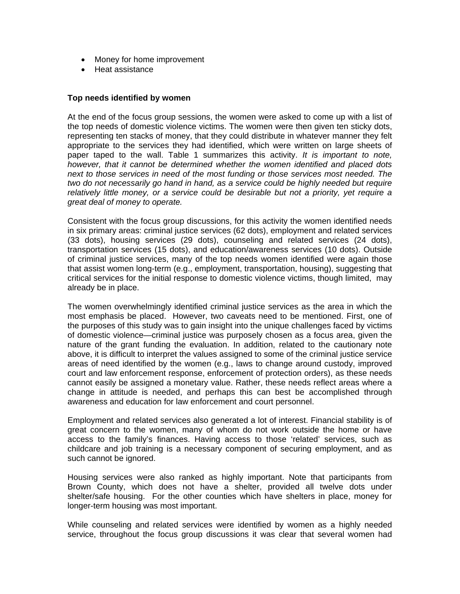- Money for home improvement
- Heat assistance

# **Top needs identified by women**

At the end of the focus group sessions, the women were asked to come up with a list of the top needs of domestic violence victims. The women were then given ten sticky dots, representing ten stacks of money, that they could distribute in whatever manner they felt appropriate to the services they had identified, which were written on large sheets of paper taped to the wall. Table 1 summarizes this activity. *It is important to note, however, that it cannot be determined whether the women identified and placed dots next to those services in need of the most funding or those services most needed. The two do not necessarily go hand in hand, as a service could be highly needed but require relatively little money, or a service could be desirable but not a priority, yet require a great deal of money to operate.* 

Consistent with the focus group discussions, for this activity the women identified needs in six primary areas: criminal justice services (62 dots), employment and related services (33 dots), housing services (29 dots), counseling and related services (24 dots), transportation services (15 dots), and education/awareness services (10 dots). Outside of criminal justice services, many of the top needs women identified were again those that assist women long-term (e.g., employment, transportation, housing), suggesting that critical services for the initial response to domestic violence victims, though limited, may already be in place.

The women overwhelmingly identified criminal justice services as the area in which the most emphasis be placed. However, two caveats need to be mentioned. First, one of the purposes of this study was to gain insight into the unique challenges faced by victims of domestic violence—criminal justice was purposely chosen as a focus area, given the nature of the grant funding the evaluation. In addition, related to the cautionary note above, it is difficult to interpret the values assigned to some of the criminal justice service areas of need identified by the women (e.g., laws to change around custody, improved court and law enforcement response, enforcement of protection orders), as these needs cannot easily be assigned a monetary value. Rather, these needs reflect areas where a change in attitude is needed, and perhaps this can best be accomplished through awareness and education for law enforcement and court personnel.

Employment and related services also generated a lot of interest. Financial stability is of great concern to the women, many of whom do not work outside the home or have access to the family's finances. Having access to those 'related' services, such as childcare and job training is a necessary component of securing employment, and as such cannot be ignored.

Housing services were also ranked as highly important. Note that participants from Brown County, which does not have a shelter, provided all twelve dots under shelter/safe housing. For the other counties which have shelters in place, money for longer-term housing was most important.

While counseling and related services were identified by women as a highly needed service, throughout the focus group discussions it was clear that several women had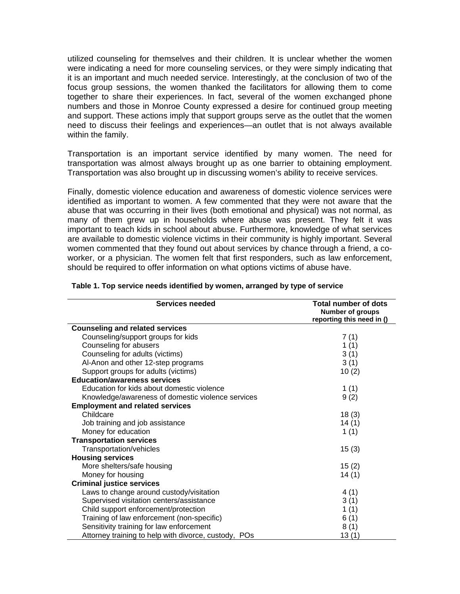utilized counseling for themselves and their children. It is unclear whether the women were indicating a need for more counseling services, or they were simply indicating that it is an important and much needed service. Interestingly, at the conclusion of two of the focus group sessions, the women thanked the facilitators for allowing them to come together to share their experiences. In fact, several of the women exchanged phone numbers and those in Monroe County expressed a desire for continued group meeting and support. These actions imply that support groups serve as the outlet that the women need to discuss their feelings and experiences—an outlet that is not always available within the family.

Transportation is an important service identified by many women. The need for transportation was almost always brought up as one barrier to obtaining employment. Transportation was also brought up in discussing women's ability to receive services.

Finally, domestic violence education and awareness of domestic violence services were identified as important to women. A few commented that they were not aware that the abuse that was occurring in their lives (both emotional and physical) was not normal, as many of them grew up in households where abuse was present. They felt it was important to teach kids in school about abuse. Furthermore, knowledge of what services are available to domestic violence victims in their community is highly important. Several women commented that they found out about services by chance through a friend, a coworker, or a physician. The women felt that first responders, such as law enforcement, should be required to offer information on what options victims of abuse have.

| <b>Services needed</b>                               | <b>Total number of dots</b><br><b>Number of groups</b><br>reporting this need in () |
|------------------------------------------------------|-------------------------------------------------------------------------------------|
| <b>Counseling and related services</b>               |                                                                                     |
| Counseling/support groups for kids                   | 7(1)                                                                                |
| Counseling for abusers                               | 1(1)                                                                                |
| Counseling for adults (victims)                      | 3(1)                                                                                |
| Al-Anon and other 12-step programs                   | 3(1)                                                                                |
| Support groups for adults (victims)                  | 10(2)                                                                               |
| <b>Education/awareness services</b>                  |                                                                                     |
| Education for kids about domestic violence           | 1(1)                                                                                |
| Knowledge/awareness of domestic violence services    | 9(2)                                                                                |
| <b>Employment and related services</b>               |                                                                                     |
| Childcare                                            | 18(3)                                                                               |
| Job training and job assistance                      | 14(1)                                                                               |
| Money for education                                  | 1(1)                                                                                |
| <b>Transportation services</b>                       |                                                                                     |
| Transportation/vehicles                              | 15(3)                                                                               |
| <b>Housing services</b>                              |                                                                                     |
| More shelters/safe housing                           | 15(2)                                                                               |
| Money for housing                                    | 14(1)                                                                               |
| <b>Criminal justice services</b>                     |                                                                                     |
| Laws to change around custody/visitation             | 4(1)                                                                                |
| Supervised visitation centers/assistance             | 3(1)                                                                                |
| Child support enforcement/protection                 | 1 $(1)$                                                                             |
| Training of law enforcement (non-specific)           | 6(1)                                                                                |
| Sensitivity training for law enforcement             | 8(1)                                                                                |
| Attorney training to help with divorce, custody, POs | 13(1)                                                                               |

#### **Table 1. Top service needs identified by women, arranged by type of service**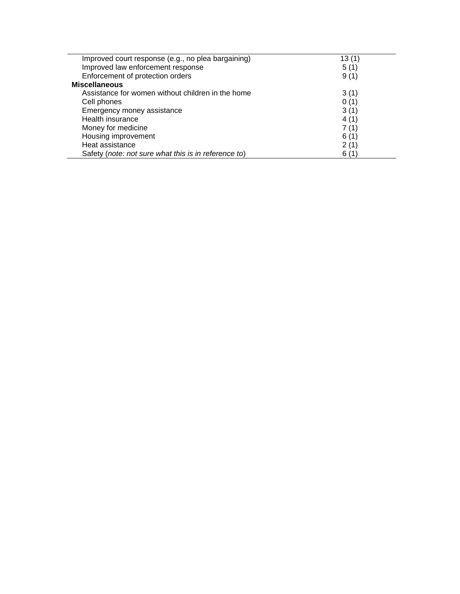| Improved court response (e.g., no plea bargaining)   | 13(1) |
|------------------------------------------------------|-------|
| Improved law enforcement response                    | 5(1)  |
| Enforcement of protection orders                     | 9(1)  |
| <b>Miscellaneous</b>                                 |       |
| Assistance for women without children in the home    | 3(1)  |
| Cell phones                                          | 0(1)  |
| Emergency money assistance                           | 3(1)  |
| Health insurance                                     | 4 (1) |
| Money for medicine                                   | 7 (1) |
| Housing improvement                                  | 6(1)  |
| Heat assistance                                      | 2(1)  |
| Safety (note: not sure what this is in reference to) | 6(1)  |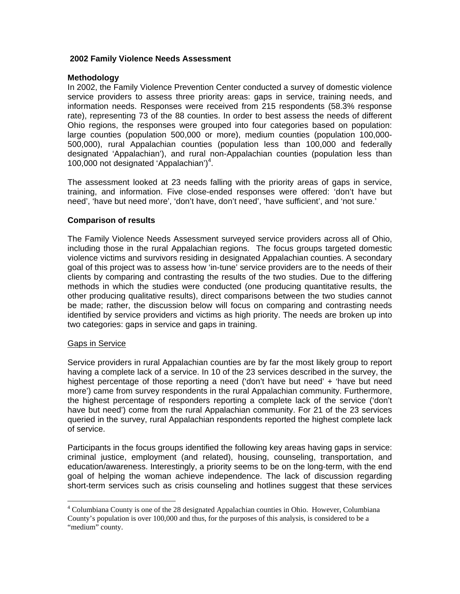## **2002 Family Violence Needs Assessment**

# **Methodology**

In 2002, the Family Violence Prevention Center conducted a survey of domestic violence service providers to assess three priority areas: gaps in service, training needs, and information needs. Responses were received from 215 respondents (58.3% response rate), representing 73 of the 88 counties. In order to best assess the needs of different Ohio regions, the responses were grouped into four categories based on population: large counties (population 500,000 or more), medium counties (population 100,000- 500,000), rural Appalachian counties (population less than 100,000 and federally designated 'Appalachian'), and rural non-Appalachian counties (population less than 100,000 not designated 'Appalachian')<sup>4</sup>.

The assessment looked at 23 needs falling with the priority areas of gaps in service, training, and information. Five close-ended responses were offered: 'don't have but need', 'have but need more', 'don't have, don't need', 'have sufficient', and 'not sure.'

# **Comparison of results**

The Family Violence Needs Assessment surveyed service providers across all of Ohio, including those in the rural Appalachian regions. The focus groups targeted domestic violence victims and survivors residing in designated Appalachian counties. A secondary goal of this project was to assess how 'in-tune' service providers are to the needs of their clients by comparing and contrasting the results of the two studies. Due to the differing methods in which the studies were conducted (one producing quantitative results, the other producing qualitative results), direct comparisons between the two studies cannot be made; rather, the discussion below will focus on comparing and contrasting needs identified by service providers and victims as high priority. The needs are broken up into two categories: gaps in service and gaps in training.

## Gaps in Service

 $\overline{a}$ 

Service providers in rural Appalachian counties are by far the most likely group to report having a complete lack of a service. In 10 of the 23 services described in the survey, the highest percentage of those reporting a need ('don't have but need' + 'have but need more') came from survey respondents in the rural Appalachian community. Furthermore, the highest percentage of responders reporting a complete lack of the service ('don't have but need') come from the rural Appalachian community. For 21 of the 23 services queried in the survey, rural Appalachian respondents reported the highest complete lack of service.

Participants in the focus groups identified the following key areas having gaps in service: criminal justice, employment (and related), housing, counseling, transportation, and education/awareness. Interestingly, a priority seems to be on the long-term, with the end goal of helping the woman achieve independence. The lack of discussion regarding short-term services such as crisis counseling and hotlines suggest that these services

<sup>&</sup>lt;sup>4</sup> Columbiana County is one of the 28 designated Appalachian counties in Ohio. However, Columbiana County's population is over 100,000 and thus, for the purposes of this analysis, is considered to be a "medium" county.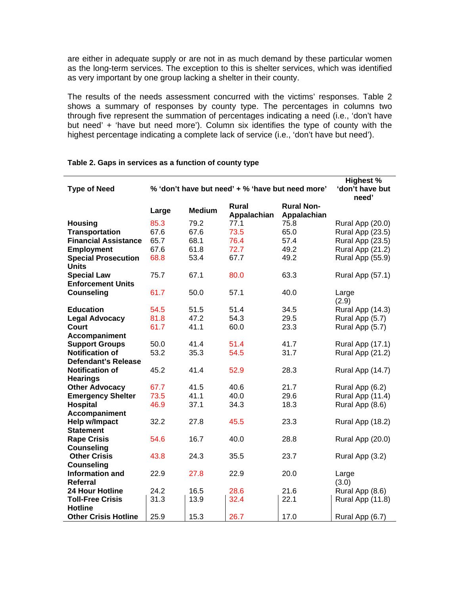are either in adequate supply or are not in as much demand by these particular women as the long-term services. The exception to this is shelter services, which was identified as very important by one group lacking a shelter in their county.

The results of the needs assessment concurred with the victims' responses. Table 2 shows a summary of responses by county type. The percentages in columns two through five represent the summation of percentages indicating a need (i.e., 'don't have but need' + 'have but need more'). Column six identifies the type of county with the highest percentage indicating a complete lack of service (i.e., 'don't have but need').

| <b>Type of Need</b>                            | % 'don't have but need' + % 'have but need more' |               |                      |                                  | <b>Highest %</b><br>'don't have but<br>need' |
|------------------------------------------------|--------------------------------------------------|---------------|----------------------|----------------------------------|----------------------------------------------|
|                                                | Large                                            | <b>Medium</b> | Rural<br>Appalachian | <b>Rural Non-</b><br>Appalachian |                                              |
| <b>Housing</b>                                 | 85.3                                             | 79.2          | 77.1                 | 75.8                             | Rural App (20.0)                             |
| <b>Transportation</b>                          | 67.6                                             | 67.6          | 73.5                 | 65.0                             | Rural App (23.5)                             |
| <b>Financial Assistance</b>                    | 65.7                                             | 68.1          | 76.4                 | 57.4                             | Rural App (23.5)                             |
| <b>Employment</b>                              | 67.6                                             | 61.8          | 72.7                 | 49.2                             | Rural App (21.2)                             |
| <b>Special Prosecution</b><br><b>Units</b>     | 68.8                                             | 53.4          | 67.7                 | 49.2                             | Rural App (55.9)                             |
| <b>Special Law</b><br><b>Enforcement Units</b> | 75.7                                             | 67.1          | 80.0                 | 63.3                             | Rural App (57.1)                             |
| <b>Counseling</b>                              | 61.7                                             | 50.0          | 57.1                 | 40.0                             | Large<br>(2.9)                               |
| <b>Education</b>                               | 54.5                                             | 51.5          | 51.4                 | 34.5                             | Rural App (14.3)                             |
| <b>Legal Advocacy</b>                          | 81.8                                             | 47.2          | 54.3                 | 29.5                             | Rural App (5.7)                              |
| <b>Court</b>                                   | 61.7                                             | 41.1          | 60.0                 | 23.3                             | Rural App (5.7)                              |
| Accompaniment                                  |                                                  |               |                      |                                  |                                              |
| <b>Support Groups</b>                          | 50.0                                             | 41.4          | 51.4                 | 41.7                             | Rural App (17.1)                             |
| <b>Notification of</b>                         | 53.2                                             | 35.3          | 54.5                 | 31.7                             | Rural App (21.2)                             |
| <b>Defendant's Release</b>                     |                                                  |               |                      |                                  |                                              |
| <b>Notification of</b>                         | 45.2                                             | 41.4          | 52.9                 | 28.3                             | Rural App (14.7)                             |
| <b>Hearings</b>                                |                                                  |               |                      |                                  |                                              |
| <b>Other Advocacy</b>                          | 67.7                                             | 41.5          | 40.6                 | 21.7                             | Rural App (6.2)                              |
| <b>Emergency Shelter</b>                       | 73.5                                             | 41.1          | 40.0                 | 29.6                             | Rural App (11.4)                             |
| <b>Hospital</b>                                | 46.9                                             | 37.1          | 34.3                 | 18.3                             | Rural App (8.6)                              |
| Accompaniment                                  |                                                  |               |                      |                                  |                                              |
| Help w/Impact<br><b>Statement</b>              | 32.2                                             | 27.8          | 45.5                 | 23.3                             | Rural App (18.2)                             |
| <b>Rape Crisis</b><br><b>Counseling</b>        | 54.6                                             | 16.7          | 40.0                 | 28.8                             | Rural App (20.0)                             |
| <b>Other Crisis</b><br><b>Counseling</b>       | 43.8                                             | 24.3          | 35.5                 | 23.7                             | Rural App (3.2)                              |
| Information and<br>Referral                    | 22.9                                             | 27.8          | 22.9                 | 20.0                             | Large<br>(3.0)                               |
| <b>24 Hour Hotline</b>                         | 24.2                                             | 16.5          | 28.6                 | 21.6                             | Rural App (8.6)                              |
| <b>Toll-Free Crisis</b>                        | 31.3                                             | 13.9          | 32.4                 | 22.1                             | Rural App (11.8)                             |
| <b>Hotline</b>                                 |                                                  |               |                      |                                  |                                              |
| <b>Other Crisis Hotline</b>                    | 25.9                                             | 15.3          | 26.7                 | 17.0                             | Rural App (6.7)                              |

## **Table 2. Gaps in services as a function of county type**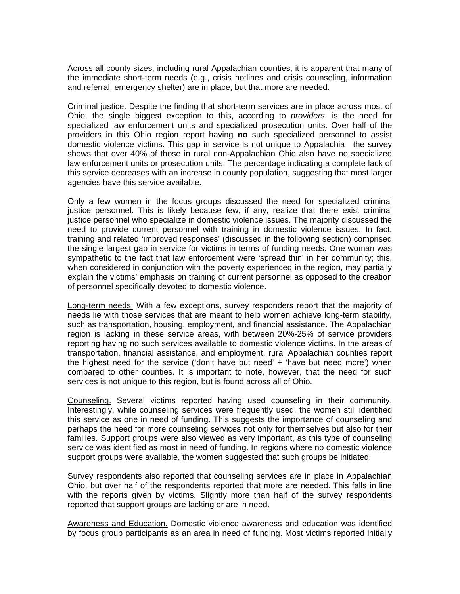Across all county sizes, including rural Appalachian counties, it is apparent that many of the immediate short-term needs (e.g., crisis hotlines and crisis counseling, information and referral, emergency shelter) are in place, but that more are needed.

Criminal justice. Despite the finding that short-term services are in place across most of Ohio, the single biggest exception to this, according to *providers*, is the need for specialized law enforcement units and specialized prosecution units. Over half of the providers in this Ohio region report having **no** such specialized personnel to assist domestic violence victims. This gap in service is not unique to Appalachia—the survey shows that over 40% of those in rural non-Appalachian Ohio also have no specialized law enforcement units or prosecution units. The percentage indicating a complete lack of this service decreases with an increase in county population, suggesting that most larger agencies have this service available.

Only a few women in the focus groups discussed the need for specialized criminal justice personnel. This is likely because few, if any, realize that there exist criminal justice personnel who specialize in domestic violence issues. The majority discussed the need to provide current personnel with training in domestic violence issues. In fact, training and related 'improved responses' (discussed in the following section) comprised the single largest gap in service for victims in terms of funding needs. One woman was sympathetic to the fact that law enforcement were 'spread thin' in her community; this, when considered in conjunction with the poverty experienced in the region, may partially explain the victims' emphasis on training of current personnel as opposed to the creation of personnel specifically devoted to domestic violence.

Long-term needs. With a few exceptions, survey responders report that the majority of needs lie with those services that are meant to help women achieve long-term stability, such as transportation, housing, employment, and financial assistance. The Appalachian region is lacking in these service areas, with between 20%-25% of service providers reporting having no such services available to domestic violence victims. In the areas of transportation, financial assistance, and employment, rural Appalachian counties report the highest need for the service ('don't have but need' + 'have but need more') when compared to other counties. It is important to note, however, that the need for such services is not unique to this region, but is found across all of Ohio.

Counseling. Several victims reported having used counseling in their community. Interestingly, while counseling services were frequently used, the women still identified this service as one in need of funding. This suggests the importance of counseling and perhaps the need for more counseling services not only for themselves but also for their families. Support groups were also viewed as very important, as this type of counseling service was identified as most in need of funding. In regions where no domestic violence support groups were available, the women suggested that such groups be initiated.

Survey respondents also reported that counseling services are in place in Appalachian Ohio, but over half of the respondents reported that more are needed. This falls in line with the reports given by victims. Slightly more than half of the survey respondents reported that support groups are lacking or are in need.

Awareness and Education. Domestic violence awareness and education was identified by focus group participants as an area in need of funding. Most victims reported initially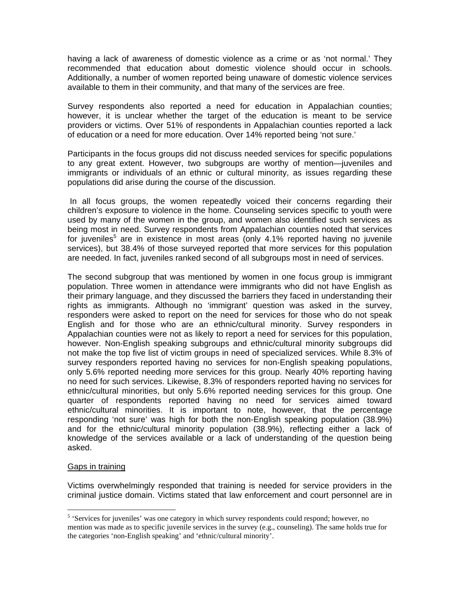having a lack of awareness of domestic violence as a crime or as 'not normal.' They recommended that education about domestic violence should occur in schools. Additionally, a number of women reported being unaware of domestic violence services available to them in their community, and that many of the services are free.

Survey respondents also reported a need for education in Appalachian counties; however, it is unclear whether the target of the education is meant to be service providers or victims. Over 51% of respondents in Appalachian counties reported a lack of education or a need for more education. Over 14% reported being 'not sure.'

Participants in the focus groups did not discuss needed services for specific populations to any great extent. However, two subgroups are worthy of mention—juveniles and immigrants or individuals of an ethnic or cultural minority, as issues regarding these populations did arise during the course of the discussion.

 In all focus groups, the women repeatedly voiced their concerns regarding their children's exposure to violence in the home. Counseling services specific to youth were used by many of the women in the group, and women also identified such services as being most in need. Survey respondents from Appalachian counties noted that services for juveniles<sup>5</sup> are in existence in most areas (only 4.1% reported having no juvenile services), but 38.4% of those surveyed reported that more services for this population are needed. In fact, juveniles ranked second of all subgroups most in need of services.

The second subgroup that was mentioned by women in one focus group is immigrant population. Three women in attendance were immigrants who did not have English as their primary language, and they discussed the barriers they faced in understanding their rights as immigrants. Although no 'immigrant' question was asked in the survey, responders were asked to report on the need for services for those who do not speak English and for those who are an ethnic/cultural minority. Survey responders in Appalachian counties were not as likely to report a need for services for this population, however. Non-English speaking subgroups and ethnic/cultural minority subgroups did not make the top five list of victim groups in need of specialized services. While 8.3% of survey responders reported having no services for non-English speaking populations, only 5.6% reported needing more services for this group. Nearly 40% reporting having no need for such services. Likewise, 8.3% of responders reported having no services for ethnic/cultural minorities, but only 5.6% reported needing services for this group. One quarter of respondents reported having no need for services aimed toward ethnic/cultural minorities. It is important to note, however, that the percentage responding 'not sure' was high for both the non-English speaking population (38.9%) and for the ethnic/cultural minority population (38.9%), reflecting either a lack of knowledge of the services available or a lack of understanding of the question being asked.

# Gaps in training

 $\overline{a}$ 

Victims overwhelmingly responded that training is needed for service providers in the criminal justice domain. Victims stated that law enforcement and court personnel are in

<sup>&</sup>lt;sup>5</sup> 'Services for juveniles' was one category in which survey respondents could respond; however, no mention was made as to specific juvenile services in the survey (e.g., counseling). The same holds true for the categories 'non-English speaking' and 'ethnic/cultural minority'.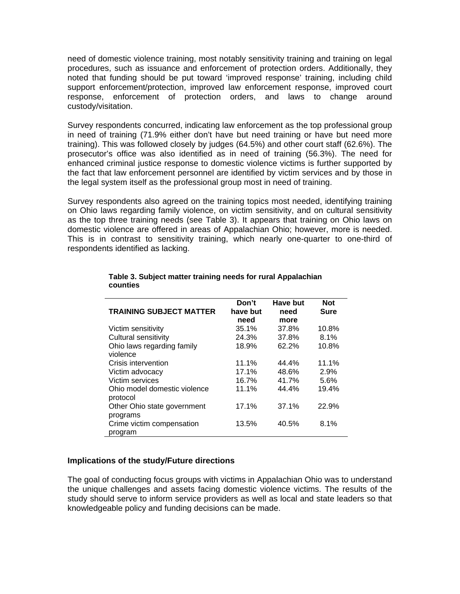need of domestic violence training, most notably sensitivity training and training on legal procedures, such as issuance and enforcement of protection orders. Additionally, they noted that funding should be put toward 'improved response' training, including child support enforcement/protection, improved law enforcement response, improved court response, enforcement of protection orders, and laws to change around custody/visitation.

Survey respondents concurred, indicating law enforcement as the top professional group in need of training (71.9% either don't have but need training or have but need more training). This was followed closely by judges (64.5%) and other court staff (62.6%). The prosecutor's office was also identified as in need of training (56.3%). The need for enhanced criminal justice response to domestic violence victims is further supported by the fact that law enforcement personnel are identified by victim services and by those in the legal system itself as the professional group most in need of training.

Survey respondents also agreed on the training topics most needed, identifying training on Ohio laws regarding family violence, on victim sensitivity, and on cultural sensitivity as the top three training needs (see Table 3). It appears that training on Ohio laws on domestic violence are offered in areas of Appalachian Ohio; however, more is needed. This is in contrast to sensitivity training, which nearly one-quarter to one-third of respondents identified as lacking.

| <b>TRAINING SUBJECT MATTER</b>           | Don't<br>have but<br>need | <b>Have but</b><br>need<br>more | <b>Not</b><br><b>Sure</b> |
|------------------------------------------|---------------------------|---------------------------------|---------------------------|
| Victim sensitivity                       | 35.1%                     | 37.8%                           | 10.8%                     |
| Cultural sensitivity                     | 24.3%                     | 37.8%                           | 8.1%                      |
| Ohio laws regarding family<br>violence   | 18.9%                     | 62.2%                           | 10.8%                     |
| Crisis intervention                      | 11.1%                     | 44.4%                           | 11.1%                     |
| Victim advocacy                          | 17.1%                     | 48.6%                           | 2.9%                      |
| Victim services                          | 16.7%                     | 41.7%                           | 5.6%                      |
| Ohio model domestic violence<br>protocol | 11.1%                     | 44.4%                           | 19.4%                     |
| Other Ohio state government<br>programs  | 17.1%                     | 37.1%                           | 22.9%                     |
| Crime victim compensation<br>program     | 13.5%                     | 40.5%                           | 8.1%                      |

#### **Table 3. Subject matter training needs for rural Appalachian counties**

# **Implications of the study/Future directions**

The goal of conducting focus groups with victims in Appalachian Ohio was to understand the unique challenges and assets facing domestic violence victims. The results of the study should serve to inform service providers as well as local and state leaders so that knowledgeable policy and funding decisions can be made.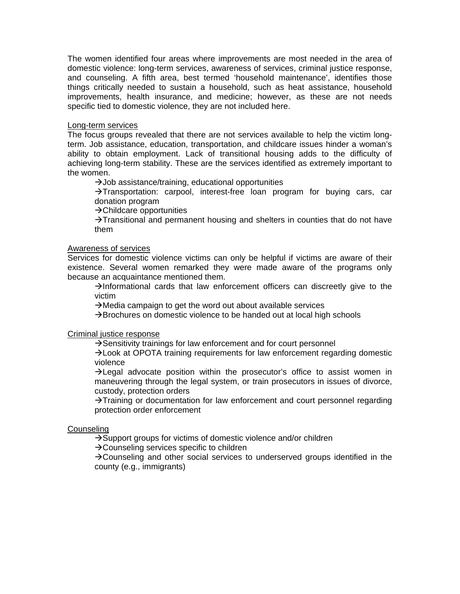The women identified four areas where improvements are most needed in the area of domestic violence: long-term services, awareness of services, criminal justice response, and counseling. A fifth area, best termed 'household maintenance', identifies those things critically needed to sustain a household, such as heat assistance, household improvements, health insurance, and medicine; however, as these are not needs specific tied to domestic violence, they are not included here.

## Long-term services

The focus groups revealed that there are not services available to help the victim longterm. Job assistance, education, transportation, and childcare issues hinder a woman's ability to obtain employment. Lack of transitional housing adds to the difficulty of achieving long-term stability. These are the services identified as extremely important to the women.

 $\rightarrow$  Job assistance/training, educational opportunities

 $\rightarrow$ Transportation: carpool, interest-free loan program for buying cars, car donation program

 $\rightarrow$ Childcare opportunities

 $\rightarrow$ Transitional and permanent housing and shelters in counties that do not have them

#### Awareness of services

Services for domestic violence victims can only be helpful if victims are aware of their existence. Several women remarked they were made aware of the programs only because an acquaintance mentioned them.

 $\rightarrow$ Informational cards that law enforcement officers can discreetly give to the victim

 $\rightarrow$  Media campaign to get the word out about available services

 $\rightarrow$ Brochures on domestic violence to be handed out at local high schools

## Criminal justice response

 $\rightarrow$  Sensitivity trainings for law enforcement and for court personnel

 $\rightarrow$  Look at OPOTA training requirements for law enforcement regarding domestic violence

 $\rightarrow$  Legal advocate position within the prosecutor's office to assist women in maneuvering through the legal system, or train prosecutors in issues of divorce, custody, protection orders

 $\rightarrow$ Training or documentation for law enforcement and court personnel regarding protection order enforcement

## **Counseling**

 $\rightarrow$ Support groups for victims of domestic violence and/or children

 $\rightarrow$  Counseling services specific to children

 $\rightarrow$  Counseling and other social services to underserved groups identified in the county (e.g., immigrants)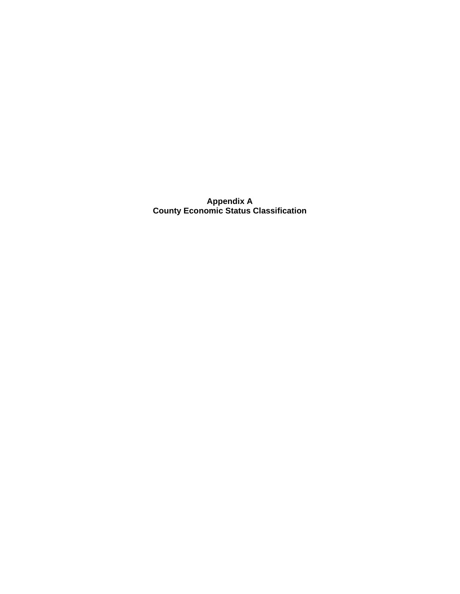**Appendix A County Economic Status Classification**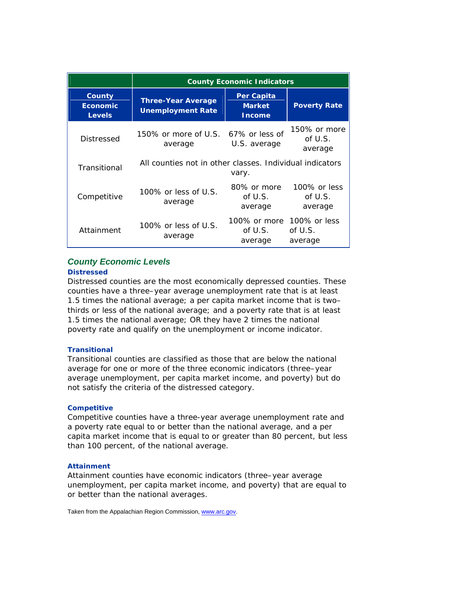|                                            | <b>County Economic Indicators</b>                        |                                              |                                       |  |
|--------------------------------------------|----------------------------------------------------------|----------------------------------------------|---------------------------------------|--|
| County<br><b>Economic</b><br><b>Levels</b> | <b>Three-Year Average</b><br><b>Unemployment Rate</b>    | Per Capita<br><b>Market</b><br><b>Income</b> | <b>Poverty Rate</b>                   |  |
| Distressed                                 | 150% or more of U.S. 67% or less of<br>average           | U.S. average                                 | 150% or more<br>of U.S.<br>average    |  |
| Transitional                               | All counties not in other classes. Individual indicators | vary.                                        |                                       |  |
| Competitive                                | 100% or less of $U.S.$<br>average                        | 80% or more<br>of $U.S.$<br>average          | 100% or less<br>of $U.S.$<br>average  |  |
| Attainment                                 | 100% or less of U.S.<br>average                          | 100% or more<br>of U.S.<br>average           | $100\%$ or less<br>of U.S.<br>average |  |

# *County Economic Levels*

#### **Distressed**

Distressed counties are the most economically depressed counties. These counties have a three–year average unemployment rate that is at least 1.5 times the national average; a per capita market income that is two– thirds or less of the national average; and a poverty rate that is at least 1.5 times the national average; OR they have 2 times the national poverty rate and qualify on the unemployment or income indicator.

#### **Transitional**

Transitional counties are classified as those that are below the national average for one or more of the three economic indicators (three–year average unemployment, per capita market income, and poverty) but do not satisfy the criteria of the distressed category.

#### **Competitive**

Competitive counties have a three-year average unemployment rate and a poverty rate equal to or better than the national average, and a per capita market income that is equal to or greater than 80 percent, but less than 100 percent, of the national average.

#### **Attainment**

Attainment counties have economic indicators (three–year average unemployment, per capita market income, and poverty) that are equal to or better than the national averages.

Taken from the Appalachian Region Commission, www.arc.gov.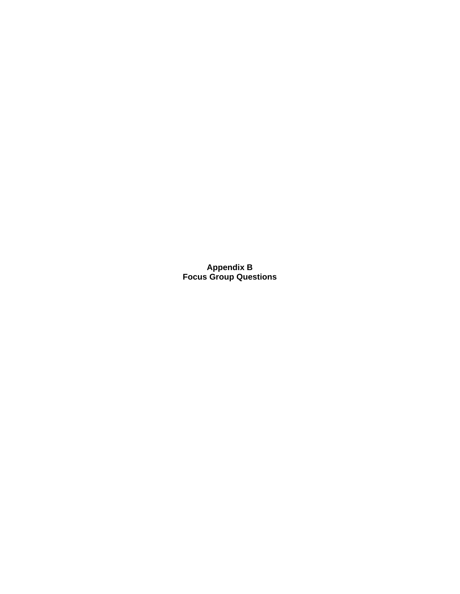**Appendix B Focus Group Questions**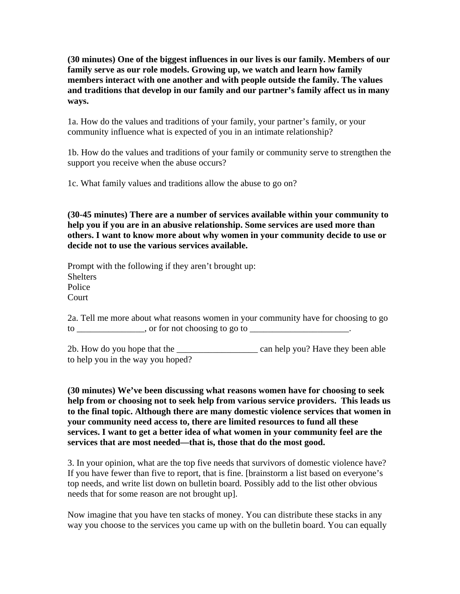**(30 minutes) One of the biggest influences in our lives is our family. Members of our family serve as our role models. Growing up, we watch and learn how family members interact with one another and with people outside the family. The values and traditions that develop in our family and our partner's family affect us in many ways.** 

1a. How do the values and traditions of your family, your partner's family, or your community influence what is expected of you in an intimate relationship?

1b. How do the values and traditions of your family or community serve to strengthen the support you receive when the abuse occurs?

1c. What family values and traditions allow the abuse to go on?

**(30-45 minutes) There are a number of services available within your community to help you if you are in an abusive relationship. Some services are used more than others. I want to know more about why women in your community decide to use or decide not to use the various services available.** 

Prompt with the following if they aren't brought up: **Shelters** Police Court

2a. Tell me more about what reasons women in your community have for choosing to go  $\frac{1}{10}$  to \_\_\_\_\_\_\_\_\_\_\_\_\_\_, or for not choosing to go to \_\_\_\_\_\_\_\_\_\_\_\_\_\_\_\_\_\_\_.

2b. How do you hope that the \_\_\_\_\_\_\_\_\_\_\_\_\_\_\_\_\_\_ can help you? Have they been able to help you in the way you hoped?

**(30 minutes) We've been discussing what reasons women have for choosing to seek help from or choosing not to seek help from various service providers. This leads us to the final topic. Although there are many domestic violence services that women in your community need access to, there are limited resources to fund all these services. I want to get a better idea of what women in your community feel are the services that are most needed—that is, those that do the most good.** 

3. In your opinion, what are the top five needs that survivors of domestic violence have? If you have fewer than five to report, that is fine. [brainstorm a list based on everyone's top needs, and write list down on bulletin board. Possibly add to the list other obvious needs that for some reason are not brought up].

Now imagine that you have ten stacks of money. You can distribute these stacks in any way you choose to the services you came up with on the bulletin board. You can equally